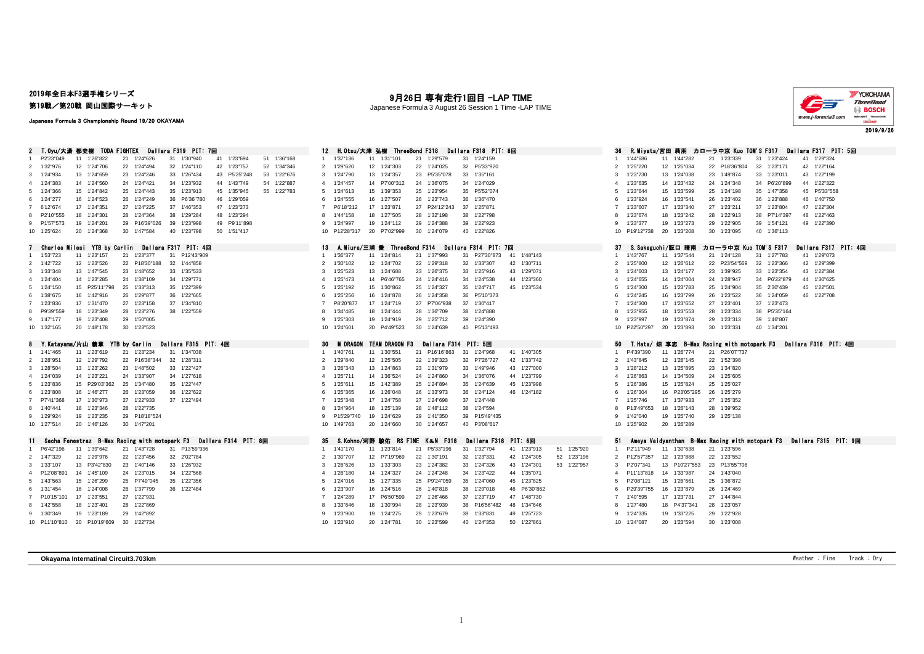### 2019年全日本F3選手権シリーズ

第19戦/第20戦 岡山国際サーキット

Japanese Formula 3 Championship Round 19/20 OKAYAMA

### 9月26日 専有走行1回目 -LAP TIME

Japanese Formula 3 August 26 Session 1 Time -LAP TIME



| 2 T.Oyu/大湯 都史樹 TODA FIGHTEX Dallara F319 PIT: 7回                                          | H.Otsu/大津 弘樹 ThreeBond F318<br>Dallara F318 PIT: 8回<br>12                                                                                       | Dallara F317 PIT: 5回<br>36<br>- R.Miyata/宮田 莉朋 カローラ中亰 Kuo TOM'S F317                     |
|-------------------------------------------------------------------------------------------|-------------------------------------------------------------------------------------------------------------------------------------------------|------------------------------------------------------------------------------------------|
| P2'23"049<br>21 1'24"626<br>41 1'23"694<br>51 1'36"168<br>11 1'26"822<br>31 1'30"940      | 1'37"136<br>21 1'29"579<br>31 1'24"159<br>11 1'31"101<br>1                                                                                      | 11 1'44"282<br>31 1'23"424<br>41 1'29"324<br>1'44"686<br>21 1'23"339                     |
| 42 1'23"757<br>52 1'34"346<br>2 1'32"976<br>12 1'24"706<br>22 1'24"494<br>32 1'24"110     | 22 1'24"025<br>32 P5'33"920<br>2 1'29"620<br>12 1'24"303                                                                                        | 32 1'23"171<br>42 1'22"164<br>1'25"220<br>12 1'25"034<br>22 P18'36"804<br>$\overline{2}$ |
| 3 1'24"934<br>13 1'24"659<br>23 1'24"246<br>33 1'26"434<br>43 P5'25"248<br>53 1'22"676    | 3 1'24"790<br>13 1'24"357<br>23 P5'35"078<br>33 1'35"161                                                                                        | 1'23"730<br>13 1'24"038<br>23 1'49"874<br>33 1'23"011<br>43 1'22"199<br>-3.              |
| 4 1'24"383<br>14 1'24"560<br>24 1'24"421<br>34 1'23"932<br>44 1'43"749<br>54<br>1'22"887  | 14 P7'00"312<br>24 1'36"075<br>4 1'24"457<br>34 1'24"029                                                                                        | 34 P6'20"899<br>44 1'22"322<br>1'23"635<br>14 1'23"432<br>24 1'24"348                    |
| 35 1'23"913<br>5 1'24"366<br>15 1'24"842<br>25 1'24"443<br>45 1'35"945<br>55 1'22"783     | 15 1'39"353<br>25 1'23"954<br>35 P5'52"074<br>5 1'24"613                                                                                        | 35 1'47"358<br>45 P5'33"558<br>1'23"644<br>15 1'23"599<br>25 1'24"198                    |
| 16 1'24"523<br>6 1'24"277<br>26 1'24"249<br>36 P6'36"780<br>46 1'29"059                   | 1'24"555<br>16 1'27"507<br>26 1'23"743<br>36 1'36"470<br>6                                                                                      | 26 1'23"402<br>36 1'23"888<br>1'23"924<br>16 1'23"541<br>46 1'40"750                     |
| 47 1'23"273<br>7 6'12"674<br>17 1'24"351<br>27 1'24"225<br>37 1'46"353                    | 37 1'25"871<br>P6'18"212<br>17 1'23"871<br>27 P24'12"243<br>$\overline{7}$                                                                      | 47 1'22"304<br>1'23"607<br>17 1'23"340<br>27 1'23"211<br>37 1'23"804                     |
| 8 P2'10"555<br>18 1'24"301<br>28 1'24"364<br>38 1'29"284<br>48 1'23"294                   | 18 1'27"505<br>1'44"158<br>28 1'32"198<br>38 1'22"798<br>8                                                                                      | 1'23"674<br>18 1'23"242<br>28 1'22"913<br>38 P7'14"397<br>48 1'22"463<br>8               |
| 9 P1'57"573<br>19 1'24"201<br>29 P16'39"026<br>39<br>1'23"998<br>49 P9'11"898             | 19 1'24"112<br>29 1'24"388<br>39 1'22"923<br>$\alpha$<br>1'24"997                                                                               | 1'23"377<br>19 1'23"273<br>29 1'22"905<br>39 1'54"121<br>49 1'22"390<br>-9               |
| 10 1'25"624<br>20 1'24"368<br>30 1'47"584<br>40 1'23"798<br>50 1'51"417                   | 20 P7'02"999<br>30 1'24"079<br>40 1'22"826<br>10 P12'28"317                                                                                     | 10 P19'12"738<br>20 1'23"208<br>30 1'23"095<br>40 1'36"113                               |
| Charles Milesi YTB by Carlin Dallara F317 PIT: 4回                                         | 13<br>A.Miura/三浦 愛 ThreeBond F314<br>Dallara F314 PIT: 7回                                                                                       | Dallara F317 PIT: 40<br>-37<br>S.Sakaguchi/阪口 晴南<br>カローラ中亰 Kuo TOM'S F317                |
| 31 P12'43"909<br>1'53"723<br>11 1'23"157<br>21 1'23"377<br>-1                             | 41 1'48"143<br>1'36"377<br>11 1'24"814<br>21 1'37"993<br>31 P27'30"873<br>$\mathbf{1}$                                                          | 41 1'29"073<br>1'43"767<br>11 1'37"544<br>21 1'24"128<br>31 1'27"783<br>$\sim$           |
| 12 1'23"526<br>22 P18'30"188<br>32 1'44"858<br>2 1'42"722                                 | 1'30"102<br>12 1'24"702<br>22 1'29"318<br>32 1'33"307<br>42 1'30"711<br>$\overline{2}$                                                          | 12 1'26"612<br>22 P23'54"569<br>32 1'23"366<br>42 1'29"399<br>1'25"800                   |
| 3 1'33"348<br>13 1'47"545<br>23 1'48"652<br>33 1'35"533                                   | 1'25"523<br>13 1'24"688<br>23 1'26"375<br>33 1'25"916<br>43 1'29"071<br>3                                                                       | 1'24"603<br>33 1'23"354<br>13 1'24"177<br>23 1'39"925<br>43 1'22"384                     |
| 14 1'23"285<br>4 1'24"404<br>24 1'38"109<br>34 1'29"771                                   | 1'25"473<br>24 1'24"416<br>14 P6'46"765<br>34 1'24"538<br>44 1'23"360<br>$\Delta$                                                               | 1'24"655<br>44 1'30"625<br>14 1'24"004<br>24 1'28"947<br>34 P6'22"879                    |
| 5 1'24"150<br>15 P25'11"798<br>25 1'33"313<br>35 1'22"399                                 | 1'25"192<br>15 1'30"862<br>25 1'24"327<br>35 1'24"717<br>45 1'23"534<br>5                                                                       | 1'24"300<br>15 1'23"783<br>25 1'24"904<br>35 2'30"439<br>45 1'22"501<br>-5               |
| 6 1'38"675<br>16 1'42"916<br>26 1'29"877<br>36 1'22"665                                   | 1'25"256<br>16 1'24"878<br>26 1'24"358<br>36 P5'10"373<br>6                                                                                     | 1'24"245<br>16 1'23"799<br>26 1'23"522<br>36 1'24"059<br>46 1'22"708                     |
| 7 1'23"836<br>17 1'31"470<br>27 1'23"158<br>37 1'34"810                                   | P8'20"877<br>17 1'24"719<br>27 P7'06"938<br>37 1'30"417<br>$\overline{7}$                                                                       | 1'24"300<br>17 1'23"652<br>27 1'23"401<br>37 1'23"473                                    |
| 8 P9'39"559<br>18 1'23"349<br>28 1'23"276<br>38 1'22"559                                  | 1'34"485<br>18 1'24"444<br>28 1'36"709<br>38 1'24"888<br>8                                                                                      | 38 P5'35"164<br>1'23"955<br>18 1'23"553<br>28 1'23"334                                   |
| 19 1'23"408<br>29 1'50"005<br>9 1'47"177                                                  | 1'25"303<br>19 1'24"919<br>29 1'25"712<br>39 1'24"390<br>9                                                                                      | 19 1'23"874<br>29 1'23"313<br>39 1'46"807<br>1'23"997                                    |
| 20 1'48"178<br>30 1'23"523<br>10 1'32"165                                                 | 20 P4'49"523<br>30 1'24"639<br>40 P5'13"493<br>10 1'24"601                                                                                      | 20 1'23"893<br>30 1'23"331<br>40 1'34"201<br>10 P22'50"297                               |
|                                                                                           |                                                                                                                                                 |                                                                                          |
|                                                                                           |                                                                                                                                                 |                                                                                          |
| 8 Y.Katayama/片山 義章 YTB by Carlin<br>Dallara F315 PIT: 4回                                  | 30<br><b>TEAM DRAGON F3</b><br>Dailara F314 PIT: 5回<br>M DRAGON                                                                                 | 50<br>T.Hata/畑 享志 B—Max Racing with motopark F3  Dallara F316 PIT: 4回                    |
| 1'41"465<br>11 1'23"619<br>21 1'23"234<br>31 1'34"038<br>$\mathbf{1}$                     | 1'40"761<br>11 1'30"551<br>21 P16'16"863<br>31 1'24"968<br>41 1'40"305                                                                          | 11 1'26"774<br>P4'39"390<br>21 P26'07"737                                                |
| 32 1'28"311<br>2 1'28"951<br>12 1'29"792<br>22 P16'38"344                                 | 1'29"840<br>12 1'25"505<br>22 1'39"323<br>32 P7'26"727<br>42 1'33"742<br>2                                                                      | 12 1'28"145<br>22 1'52"398<br>1'43"845<br>$\mathcal{P}$                                  |
| 3 1'28"504<br>13 1'23"262<br>23 1'48"502<br>33 1'22"427                                   | 1'26"343<br>13 1'24"863<br>23 1'31"979<br>33 1'49"946<br>43 1'27"000<br>3                                                                       | 13 1'25"895<br>23 1'34"820<br>1'28"212<br>-3.                                            |
| 4 1'24"039<br>14 1'23"221<br>24 1'33"907<br>34 1'27"618                                   | 1'25"711<br>14 1'36"524<br>24 1'24"860<br>34 1'36"076<br>44 1'23"799<br>$\overline{4}$                                                          | 1'26"863<br>14 1'34"509<br>24 1'25"605                                                   |
| 35 1'22"447<br>5 1'23"836<br>15 P29'03"362<br>25 1'34"480                                 | 1'25"611<br>15 1'42"389<br>25 1'24"894<br>35 1'24"639<br>45 1'23"998<br>5.                                                                      | 15 1'25"824<br>25 1'25"027<br>1'26"386<br>-5                                             |
| 6 1'23"808<br>16 1'46"277<br>26 1'23"059<br>36 1'22"622                                   | 1'25"365<br>16 1'26"048<br>26 1'33"973<br>36 1'24"124<br>46 1'24"182<br>-6<br>$\overline{7}$                                                    | 26 1'25"279<br>1'26"304<br>16 P23'05"295                                                 |
| 7 P7'41"368<br>17 1'30"973<br>27 1'22"933<br>37 1'22"494                                  | 17 1'24"758<br>27 1'24"698<br>37 1'24"448<br>1'25"348<br>8                                                                                      | 1'25"746<br>17 1'37"933<br>27 1'25"352                                                   |
| 18 1'23"346<br>28 1'22"735<br>8 1'40"441                                                  | 18 1'25"139<br>28 1'48"112<br>38 1'24"594<br>1'24"964                                                                                           | 18 1'26"143<br>28 1'39"952<br>P13'49"653<br>-9                                           |
| 19 1'23"235<br>9 1'29"924<br>29 P18'18"524                                                | 19 1'24"629<br>29 1'41"350<br>39 P15'49"435<br>P15'29"740<br>9                                                                                  | 1'42"040<br>19 1'25"740<br>29 1'25"138                                                   |
| 10 1'27"514<br>20 1'46"126<br>30 1'47"201                                                 | 20 1'24"660<br>30 1'24"657<br>40 P3'08"617<br>10 1'49"763                                                                                       | 10 1'25"902<br>20 1'26"289                                                               |
| Fenestraz B-Max Racing with motopark F3 Dallara F314 PIT: 8回<br>Sacha<br>11.              | 35<br>S.Kohno/河野 駿佑 RS FINE K&N F318<br>Dallara F318<br>PIT:6回                                                                                  | Ameya Vaidyanthan B-Max Racing with motopark F3 Dallara F315 PIT: 9回<br>-51              |
| 31 P13'59"936<br>1 P6'42"196<br>11 1'39"642<br>21 1'43"728                                | 21 P5'33"196<br>41 1'23"913<br>51 1'25"920<br>1'41"170<br>11 1'23"814<br>31 1'32"794<br>$\mathbf{1}$                                            | P2'11"949<br>11 1'30"638<br>21 1'23"596                                                  |
| 2 1'47"329<br>12 1'29"976<br>22 1'23"456<br>32 2'02"784                                   | 1'30"707<br>12 P7'19"969<br>22 1'30"191<br>32 1'23"331<br>42 1'24"305<br>52 1'23"196<br>2                                                       | 22 1'23"552<br>P12'57"357<br>12 1'23"888<br>$\overline{2}$                               |
| 3 1'33"107<br>13 P3'42"830<br>23 1'40"146<br>33 1'26"932                                  | 1'26"626<br>13 1'33"303<br>23 1'24"382<br>33 1'24"326<br>43 1'24"301<br>53 1'22"957<br>3                                                        | 13 P10'27"553<br>23 P13'55"708<br>P2'07"341<br>$\mathcal{R}$                             |
| 14 1'45"109<br>34 1'22"568<br>4 P12'08"891<br>24 1'23"015                                 | 14 1'24"327<br>24 1'24"248<br>34 1'23"422<br>44 1'35"071<br>1'26"180<br>$\overline{4}$                                                          | P11'13"818<br>14 1'33"987<br>24 1'43"040<br>4                                            |
| 5 1'43"563<br>15 1'26"299<br>25 P7'49"045<br>35 1'22"356                                  | 15 1'27"335<br>45 1'23"825<br>1'24"016<br>25 P9'24"059<br>35 1'24"060<br>5.                                                                     | P2'08"121<br>15 1'26"661<br>25 1'36"872                                                  |
| 16 1'24"008<br>36 1'22"484<br>6 1'31"454<br>26 1'37"799                                   | 1'23"907<br>16 1'24"516<br>26 1'40"818<br>36 1'29"018<br>46 P6'30"862<br>6                                                                      | P29'39"755<br>16 1'23"879<br>26 1'24"469                                                 |
| 17 1'23"551<br>27 1'22"931<br>7 P10'15"101                                                | 17 P6'50"599<br>1'24"289<br>27 1'26"466<br>37 1'23"719<br>47 1'48"730                                                                           | 1'40"595<br>17 1'23"731<br>27 1'44"844                                                   |
| 8 1'42"558<br>18 1'23"401<br>28 1'22"869                                                  | 1'33"646<br>18 1'30"994<br>28 1'23"939<br>38 P16'56"482<br>48 1'34"646<br>8                                                                     | 1'27"480<br>18 P4'37"341<br>28 1'23"057<br>8                                             |
| 19 1'23"189<br>9 1'30"349<br>29 1'42"892<br>10 P11'10"810<br>20 P10'19"609<br>30 1'22"734 | 29 1'23"679<br>1'23"900<br>19 1'24"275<br>39 1'33"831<br>49 1'25"723<br>10 1'23"910<br>20 1'24"781<br>30 1'23"599<br>40 1'24"353<br>50 1'22"861 | 29 1'22"928<br>1'24"335<br>19 1'33"225<br>10 1'24"087<br>20 1'23"594<br>30 1'23"008      |

**Okayama Internatinal Circuit3.703km** Weather : Fine Track : Dry